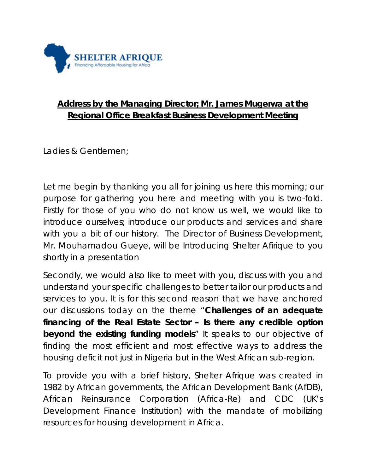

## **Address by the Managing Director; Mr. James Mugerwa at the Regional Office Breakfast Business Development Meeting**

Ladies & Gentlemen;

Let me begin by thanking you all for joining us here this morning; our purpose for gathering you here and meeting with you is two-fold. Firstly for those of you who do not know us well, we would like to introduce ourselves; introduce our products and services and share with you a bit of our history. The Director of Business Development, Mr. Mouhamadou Gueye, will be Introducing Shelter Afirique to you shortly in a presentation

Secondly, we would also like to meet with you, discuss with you and understand your specific challenges to better tailor our products and services to you. It is for this second reason that we have anchored our discussions today on the theme "*Challenges of an adequate financing of the Real Estate Sector – Is there any credible option beyond the existing funding models*" It speaks to our objective of finding the most efficient and most effective ways to address the housing deficit not just in Nigeria but in the West African sub-region.

To provide you with a brief history, Shelter Afrique was created in 1982 by African governments, the African Development Bank (AfDB), African Reinsurance Corporation (Africa-Re) and CDC (UK's Development Finance Institution) with the mandate of mobilizing resources for housing development in Africa.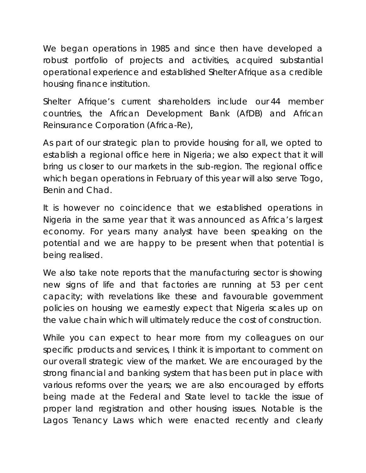We began operations in 1985 and since then have developed a robust portfolio of projects and activities, acquired substantial operational experience and established Shelter Afrique as a credible housing finance institution.

Shelter Afrique's current shareholders include our 44 member countries, the African Development Bank (AfDB) and African Reinsurance Corporation (Africa-Re),

As part of our strategic plan to provide housing for all, we opted to establish a regional office here in Nigeria; we also expect that it will bring us closer to our markets in the sub-region. The regional office which began operations in February of this year will also serve Togo, Benin and Chad.

It is however no coincidence that we established operations in Nigeria in the same year that it was announced as Africa's largest economy. For years many analyst have been speaking on the potential and we are happy to be present when that potential is being realised.

We also take note reports that the manufacturing sector is showing new signs of life and that factories are running at 53 per cent capacity; with revelations like these and favourable government policies on housing we earnestly expect that Nigeria scales up on the value chain which will ultimately reduce the cost of construction.

While you can expect to hear more from my colleagues on our specific products and services, I think it is important to comment on our overall strategic view of the market. We are encouraged by the strong financial and banking system that has been put in place with various reforms over the years; we are also encouraged by efforts being made at the Federal and State level to tackle the issue of proper land registration and other housing issues. Notable is the Lagos Tenancy Laws which were enacted recently and clearly